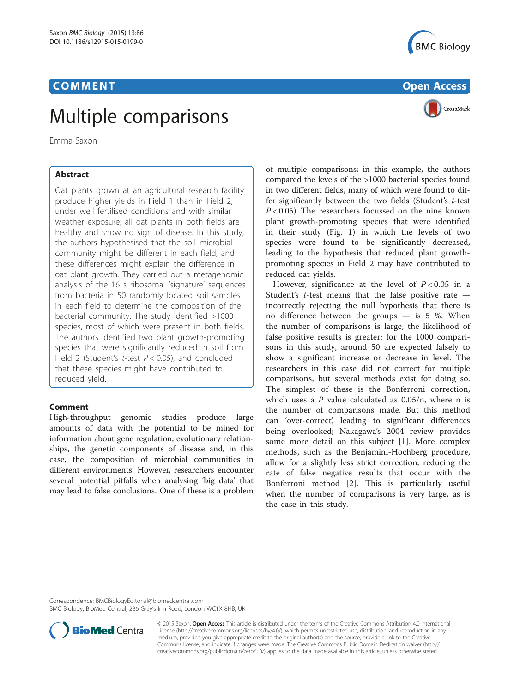# Emma Saxon<br>Emma Saxon

Emma Saxon

Oat plants grown at an agricultural research facility produce higher yields in Field 1 than in Field 2, under well fertilised conditions and with similar weather exposure; all oat plants in both fields are healthy and show no sign of disease. In this study, the authors hypothesised that the soil microbial community might be different in each field, and these differences might explain the difference in oat plant growth. They carried out a metagenomic analysis of the 16 s ribosomal 'signature' sequences from bacteria in 50 randomly located soil samples in each field to determine the composition of the bacterial community. The study identified >1000 species, most of which were present in both fields. The authors identified two plant growth-promoting species that were significantly reduced in soil from Field 2 (Student's *t*-test  $P < 0.05$ ), and concluded that these species might have contributed to reduced yield.

## **Comment**

High-throughput genomic studies produce large amounts of data with the potential to be mined for information about gene regulation, evolutionary relationships, the genetic components of disease and, in this case, the composition of microbial communities in different environments. However, researchers encounter several potential pitfalls when analysing 'big data' that may lead to false conclusions. One of these is a problem





of multiple comparisons; in this example, the authors compared the levels of the >1000 bacterial species found in two different fields, many of which were found to differ significantly between the two fields (Student's t-test  $P < 0.05$ ). The researchers focussed on the nine known plant growth-promoting species that were identified in their study (Fig. [1\)](#page-1-0) in which the levels of two species were found to be significantly decreased, leading to the hypothesis that reduced plant growthpromoting species in Field 2 may have contributed to reduced oat yields.

However, significance at the level of  $P < 0.05$  in a Student's  $t$ -test means that the false positive rate incorrectly rejecting the null hypothesis that there is no difference between the groups — is 5 %. When the number of comparisons is large, the likelihood of false positive results is greater: for the 1000 comparisons in this study, around 50 are expected falsely to show a significant increase or decrease in level. The researchers in this case did not correct for multiple comparisons, but several methods exist for doing so. The simplest of these is the Bonferroni correction, which uses a  $P$  value calculated as  $0.05/n$ , where n is the number of comparisons made. But this method can 'over-correct', leading to significant differences being overlooked; Nakagawa's 2004 review provides some more detail on this subject [[1](#page-1-0)]. More complex methods, such as the Benjamini-Hochberg procedure, allow for a slightly less strict correction, reducing the rate of false negative results that occur with the Bonferroni method [\[2](#page-1-0)]. This is particularly useful when the number of comparisons is very large, as is the case in this study.

Correspondence: [BMCBiologyEditorial@biomedcentral.com](mailto:BMCBiologyEditorial@biomedcentral.com)

BMC Biology, BioMed Central, 236 Gray's Inn Road, London WC1X 8HB, UK



© 2015 Saxon. Open Access This article is distributed under the terms of the Creative Commons Attribution 4.0 International License ([http://creativecommons.org/licenses/by/4.0/\)](http://creativecommons.org/licenses/by/4.0/), which permits unrestricted use, distribution, and reproduction in any medium, provided you give appropriate credit to the original author(s) and the source, provide a link to the Creative Commons license, and indicate if changes were made. The Creative Commons Public Domain Dedication waiver ([http://](http://creativecommons.org/publicdomain/zero/1.0/) [creativecommons.org/publicdomain/zero/1.0/\)](http://creativecommons.org/publicdomain/zero/1.0/) applies to the data made available in this article, unless otherwise stated.